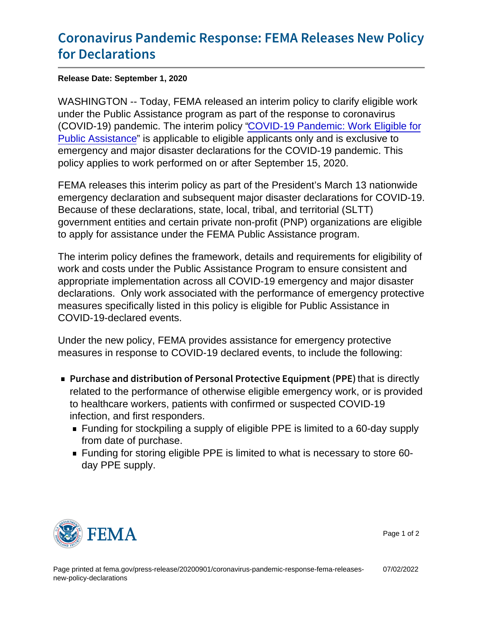## [Coronavirus Pandemic Response: FE](https://www.fema.gov/press-release/20200901/coronavirus-pandemic-response-fema-releases-new-policy-declarations)MA Re [for Declar](https://www.fema.gov/press-release/20200901/coronavirus-pandemic-response-fema-releases-new-policy-declarations)ations

Release Date: September 1, 2020

WASHINGTON -- Today, FEMA released an interim policy to clarify eligible work under the Public Assistance program as part of the response to coronavirus (COVID-19) pandemic. The interim policy ["COVID-19 Pandemic: Work Eligible for](https://www.fema.gov/sites/default/files/2020-09/fema_policy_104-009-19_PA-eligibility-policy-covid.pdf) [Public Assistance](https://www.fema.gov/sites/default/files/2020-09/fema_policy_104-009-19_PA-eligibility-policy-covid.pdf)" is applicable to eligible applicants only and is exclusive to emergency and major disaster declarations for the COVID-19 pandemic. This policy applies to work performed on or after September 15, 2020.

FEMA releases this interim policy as part of the President's March 13 nationwide emergency declaration and subsequent major disaster declarations for COVID-19. Because of these declarations, state, local, tribal, and territorial (SLTT) government entities and certain private non-profit (PNP) organizations are eligible to apply for assistance under the FEMA Public Assistance program.

The interim policy defines the framework, details and requirements for eligibility of work and costs under the Public Assistance Program to ensure consistent and appropriate implementation across all COVID-19 emergency and major disaster declarations. Only work associated with the performance of emergency protective measures specifically listed in this policy is eligible for Public Assistance in COVID-19-declared events.

Under the new policy, FEMA provides assistance for emergency protective measures in response to COVID-19 declared events, to include the following:

- Purchase and distribution of Personal Pthattieditectly Equipment (Personal Puthatties of Purchase related to the performance of otherwise eligible emergency work, or is provided to healthcare workers, patients with confirmed or suspected COVID-19 infection, and first responders.
	- Funding for stockpiling a supply of eligible PPE is limited to a 60-day supply from date of purchase.
	- Funding for storing eligible PPE is limited to what is necessary to store 60 day PPE supply.



Page 1 of 2